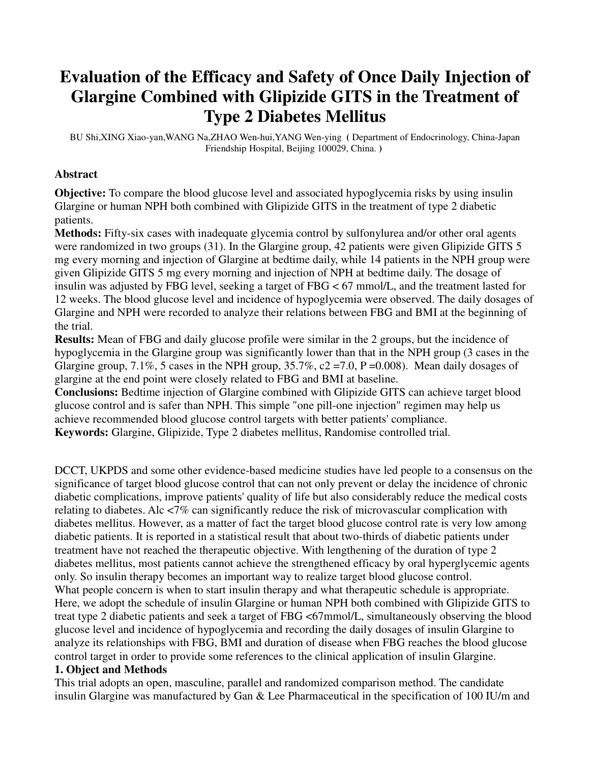# **Evaluation of the Efficacy and Safety of Once Daily Injection of Glargine Combined with Glipizide GITS in the Treatment of Type 2 Diabetes Mellitus**

BU Shi,XING Xiao-yan,WANG Na,ZHAO Wen-hui,YANG Wen-ying **(** Department of Endocrinology, China-Japan Friendship Hospital, Beijing 100029, China. **)** 

#### **Abstract**

**Objective:** To compare the blood glucose level and associated hypoglycemia risks by using insulin Glargine or human NPH both combined with Glipizide GITS in the treatment of type 2 diabetic patients.

**Methods:** Fifty-six cases with inadequate glycemia control by sulfonylurea and/or other oral agents were randomized in two groups (31). In the Glargine group, 42 patients were given Glipizide GITS 5 mg every morning and injection of Glargine at bedtime daily, while 14 patients in the NPH group were given Glipizide GITS 5 mg every morning and injection of NPH at bedtime daily. The dosage of insulin was adjusted by FBG level, seeking a target of FBG < 67 mmol/L, and the treatment lasted for 12 weeks. The blood glucose level and incidence of hypoglycemia were observed. The daily dosages of Glargine and NPH were recorded to analyze their relations between FBG and BMI at the beginning of the trial.

**Results:** Mean of FBG and daily glucose profile were similar in the 2 groups, but the incidence of hypoglycemia in the Glargine group was significantly lower than that in the NPH group (3 cases in the Glargine group, 7.1%, 5 cases in the NPH group,  $35.7\%$ ,  $c2 = 7.0$ , P = 0.008). Mean daily dosages of glargine at the end point were closely related to FBG and BMI at baseline.

**Conclusions:** Bedtime injection of Glargine combined with Glipizide GITS can achieve target blood glucose control and is safer than NPH. This simple "one pill-one injection" regimen may help us achieve recommended blood glucose control targets with better patients' compliance. **Keywords:** Glargine, Glipizide, Type 2 diabetes mellitus, Randomise controlled trial.

DCCT, UKPDS and some other evidence-based medicine studies have led people to a consensus on the significance of target blood glucose control that can not only prevent or delay the incidence of chronic diabetic complications, improve patients' quality of life but also considerably reduce the medical costs relating to diabetes. Alc <7% can significantly reduce the risk of microvascular complication with diabetes mellitus. However, as a matter of fact the target blood glucose control rate is very low among diabetic patients. It is reported in a statistical result that about two-thirds of diabetic patients under treatment have not reached the therapeutic objective. With lengthening of the duration of type 2 diabetes mellitus, most patients cannot achieve the strengthened efficacy by oral hyperglycemic agents only. So insulin therapy becomes an important way to realize target blood glucose control. What people concern is when to start insulin therapy and what therapeutic schedule is appropriate. Here, we adopt the schedule of insulin Glargine or human NPH both combined with Glipizide GITS to treat type 2 diabetic patients and seek a target of FBG <67mmol/L, simultaneously observing the blood glucose level and incidence of hypoglycemia and recording the daily dosages of insulin Glargine to analyze its relationships with FBG, BMI and duration of disease when FBG reaches the blood glucose control target in order to provide some references to the clinical application of insulin Glargine.

#### **1. Object and Methods**

This trial adopts an open, masculine, parallel and randomized comparison method. The candidate insulin Glargine was manufactured by Gan & Lee Pharmaceutical in the specification of 100 IU/m and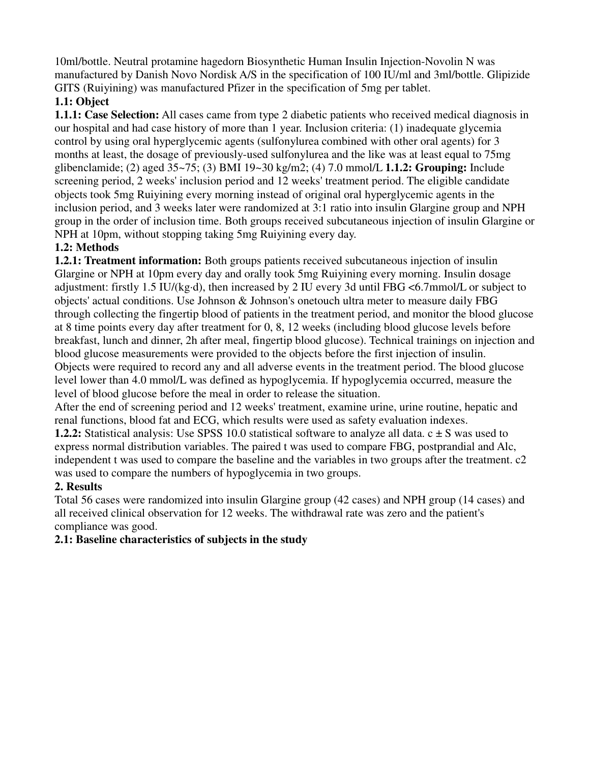10ml/bottle. Neutral protamine hagedorn Biosynthetic Human Insulin Injection-Novolin N was manufactured by Danish Novo Nordisk A/S in the specification of 100 IU/ml and 3ml/bottle. Glipizide GITS (Ruiyining) was manufactured Pfizer in the specification of 5mg per tablet.

# **1.1: Object**

**1.1.1: Case Selection:** All cases came from type 2 diabetic patients who received medical diagnosis in our hospital and had case history of more than 1 year. Inclusion criteria: (1) inadequate glycemia control by using oral hyperglycemic agents (sulfonylurea combined with other oral agents) for 3 months at least, the dosage of previously-used sulfonylurea and the like was at least equal to 75mg glibenclamide; (2) aged 35~75; (3) BMI 19~30 kg/m2; (4) 7.0 mmol/L **1.1.2: Grouping:** Include screening period, 2 weeks' inclusion period and 12 weeks' treatment period. The eligible candidate objects took 5mg Ruiyining every morning instead of original oral hyperglycemic agents in the inclusion period, and 3 weeks later were randomized at 3:1 ratio into insulin Glargine group and NPH group in the order of inclusion time. Both groups received subcutaneous injection of insulin Glargine or NPH at 10pm, without stopping taking 5mg Ruiyining every day.

# **1.2: Methods**

**1.2.1: Treatment information:** Both groups patients received subcutaneous injection of insulin Glargine or NPH at 10pm every day and orally took 5mg Ruiyining every morning. Insulin dosage adjustment: firstly 1.5 IU/(kg·d), then increased by 2 IU every 3d until FBG <6.7mmol/L or subject to objects' actual conditions. Use Johnson & Johnson's onetouch ultra meter to measure daily FBG through collecting the fingertip blood of patients in the treatment period, and monitor the blood glucose at 8 time points every day after treatment for 0, 8, 12 weeks (including blood glucose levels before breakfast, lunch and dinner, 2h after meal, fingertip blood glucose). Technical trainings on injection and blood glucose measurements were provided to the objects before the first injection of insulin. Objects were required to record any and all adverse events in the treatment period. The blood glucose level lower than 4.0 mmol/L was defined as hypoglycemia. If hypoglycemia occurred, measure the level of blood glucose before the meal in order to release the situation.

After the end of screening period and 12 weeks' treatment, examine urine, urine routine, hepatic and renal functions, blood fat and ECG, which results were used as safety evaluation indexes.

**1.2.2:** Statistical analysis: Use SPSS 10.0 statistical software to analyze all data. c  $\pm$  S was used to express normal distribution variables. The paired t was used to compare FBG, postprandial and Alc, independent t was used to compare the baseline and the variables in two groups after the treatment. c2 was used to compare the numbers of hypoglycemia in two groups.

# **2. Results**

Total 56 cases were randomized into insulin Glargine group (42 cases) and NPH group (14 cases) and all received clinical observation for 12 weeks. The withdrawal rate was zero and the patient's compliance was good.

# **2.1: Baseline characteristics of subjects in the study**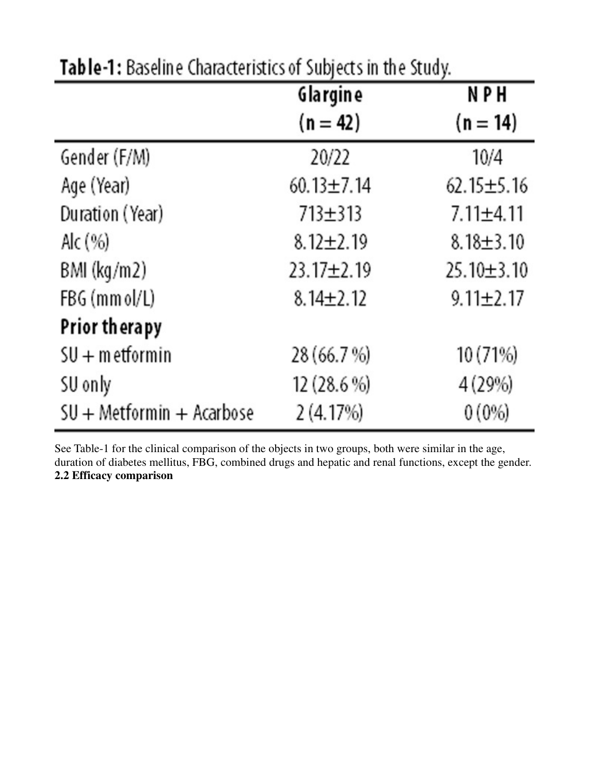|                           | Glargine         | NPH              |
|---------------------------|------------------|------------------|
|                           | $(n = 42)$       | $(n = 14)$       |
| Gender (F/M)              | 20/22            | 10/4             |
| Age (Year)                | $60.13 \pm 7.14$ | $62.15 \pm 5.16$ |
| Duration (Year)           | 713±313          | $7.11 \pm 4.11$  |
| Alc (%)                   | $8.12 \pm 2.19$  | $8.18 \pm 3.10$  |
| BMI (kg/m2)               | 23.17±2.19       | $25.10 \pm 3.10$ |
| FBG (mm ol/L)             | $8.14 \pm 2.12$  | $9.11 \pm 2.17$  |
| Prior therapy             |                  |                  |
| $SU + m$ etformin         | 28 (66.7 %)      | 10 (71%)         |
| SU only                   | 12 (28.6 %)      | 4 (29%)          |
| SU + Metformin + Acarbose | 2(4.17%)         | 0(0%             |

Table-1: Baseline Characteristics of Subjects in the Study.

See Table-1 for the clinical comparison of the objects in two groups, both were similar in the age, duration of diabetes mellitus, FBG, combined drugs and hepatic and renal functions, except the gender. **2.2 Efficacy comparison**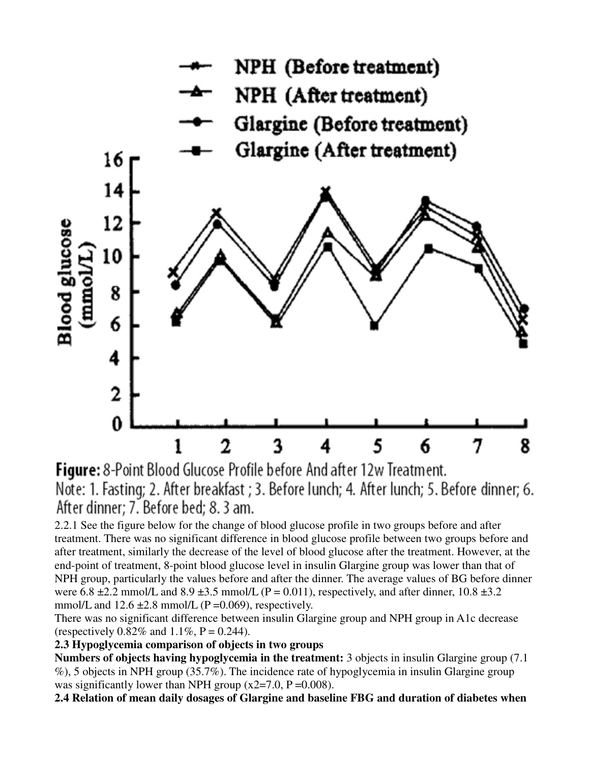

Figure: 8-Point Blood Glucose Profile before And after 12w Treatment. Note: 1. Fasting; 2. After breakfast ; 3. Before lunch; 4. After lunch; 5. Before dinner; 6. After dinner: 7. Before bed: 8.3 am.

2.2.1 See the figure below for the change of blood glucose profile in two groups before and after treatment. There was no significant difference in blood glucose profile between two groups before and after treatment, similarly the decrease of the level of blood glucose after the treatment. However, at the end-point of treatment, 8-point blood glucose level in insulin Glargine group was lower than that of NPH group, particularly the values before and after the dinner. The average values of BG before dinner were  $6.8 \pm 2.2$  mmol/L and  $8.9 \pm 3.5$  mmol/L (P = 0.011), respectively, and after dinner, 10.8  $\pm 3.2$ mmol/L and  $12.6 \pm 2.8$  mmol/L (P = 0.069), respectively.

There was no significant difference between insulin Glargine group and NPH group in A1c decrease (respectively  $0.82\%$  and  $1.1\%$ , P = 0.244).

### **2.3 Hypoglycemia comparison of objects in two groups**

**Numbers of objects having hypoglycemia in the treatment:** 3 objects in insulin Glargine group (7.1 %), 5 objects in NPH group (35.7%). The incidence rate of hypoglycemia in insulin Glargine group was significantly lower than NPH group  $(x2=7.0, P=0.008)$ .

**2.4 Relation of mean daily dosages of Glargine and baseline FBG and duration of diabetes when**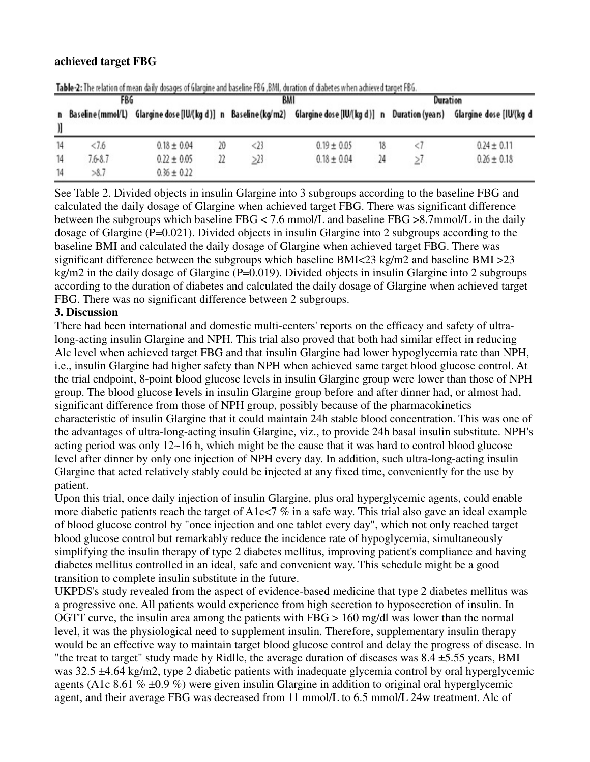#### **achieved target FBG**

| <b>FBG</b> |                     |                 |    | BMI    |                                                                                           |    | Duration |                         |
|------------|---------------------|-----------------|----|--------|-------------------------------------------------------------------------------------------|----|----------|-------------------------|
|            | n Baseline (mmol/L) |                 |    |        | Glargine dose [IU/(kg d)] n Baseline (kg/m2) Glargine dose [IU/(kg d)] n Duration (years) |    |          | Glargine dose [IU/(kg d |
| 14         | < 7.6               | $0.18 \pm 0.04$ | 20 | $<$ 23 | $0.19 \pm 0.05$                                                                           | 18 |          | $0.24 \pm 0.11$         |
| 14         | $7.6 - 8.7$         | $0.22 \pm 0.05$ | 22 | >23    | $0.18 \pm 0.04$                                                                           | 24 |          | $0.26 \pm 0.18$         |
| 14         | >8.7                | $0.36 \pm 0.22$ |    |        |                                                                                           |    |          |                         |

Table-2: The relation of mean daily dosages of Glargine and baseline FBG. BML duration of diabetes when achieved target FBG.

See Table 2. Divided objects in insulin Glargine into 3 subgroups according to the baseline FBG and calculated the daily dosage of Glargine when achieved target FBG. There was significant difference between the subgroups which baseline FBG < 7.6 mmol/L and baseline FBG >8.7mmol/L in the daily dosage of Glargine (P=0.021). Divided objects in insulin Glargine into 2 subgroups according to the baseline BMI and calculated the daily dosage of Glargine when achieved target FBG. There was significant difference between the subgroups which baseline BMI<23 kg/m2 and baseline BMI >23 kg/m2 in the daily dosage of Glargine (P=0.019). Divided objects in insulin Glargine into 2 subgroups according to the duration of diabetes and calculated the daily dosage of Glargine when achieved target FBG. There was no significant difference between 2 subgroups.

### **3. Discussion**

There had been international and domestic multi-centers' reports on the efficacy and safety of ultralong-acting insulin Glargine and NPH. This trial also proved that both had similar effect in reducing Alc level when achieved target FBG and that insulin Glargine had lower hypoglycemia rate than NPH, i.e., insulin Glargine had higher safety than NPH when achieved same target blood glucose control. At the trial endpoint, 8-point blood glucose levels in insulin Glargine group were lower than those of NPH group. The blood glucose levels in insulin Glargine group before and after dinner had, or almost had, significant difference from those of NPH group, possibly because of the pharmacokinetics characteristic of insulin Glargine that it could maintain 24h stable blood concentration. This was one of the advantages of ultra-long-acting insulin Glargine, viz., to provide 24h basal insulin substitute. NPH's acting period was only  $12{\sim}16$  h, which might be the cause that it was hard to control blood glucose level after dinner by only one injection of NPH every day. In addition, such ultra-long-acting insulin Glargine that acted relatively stably could be injected at any fixed time, conveniently for the use by patient.

Upon this trial, once daily injection of insulin Glargine, plus oral hyperglycemic agents, could enable more diabetic patients reach the target of A1c $\lt 7$  % in a safe way. This trial also gave an ideal example of blood glucose control by "once injection and one tablet every day", which not only reached target blood glucose control but remarkably reduce the incidence rate of hypoglycemia, simultaneously simplifying the insulin therapy of type 2 diabetes mellitus, improving patient's compliance and having diabetes mellitus controlled in an ideal, safe and convenient way. This schedule might be a good transition to complete insulin substitute in the future.

UKPDS's study revealed from the aspect of evidence-based medicine that type 2 diabetes mellitus was a progressive one. All patients would experience from high secretion to hyposecretion of insulin. In OGTT curve, the insulin area among the patients with  $FBG > 160$  mg/dl was lower than the normal level, it was the physiological need to supplement insulin. Therefore, supplementary insulin therapy would be an effective way to maintain target blood glucose control and delay the progress of disease. In "the treat to target" study made by Ridlle, the average duration of diseases was  $8.4 \pm 5.55$  years, BMI was 32.5  $\pm$ 4.64 kg/m2, type 2 diabetic patients with inadequate glycemia control by oral hyperglycemic agents (A1c 8.61  $\%$  ±0.9  $\%$ ) were given insulin Glargine in addition to original oral hyperglycemic agent, and their average FBG was decreased from 11 mmol/L to 6.5 mmol/L 24w treatment. Alc of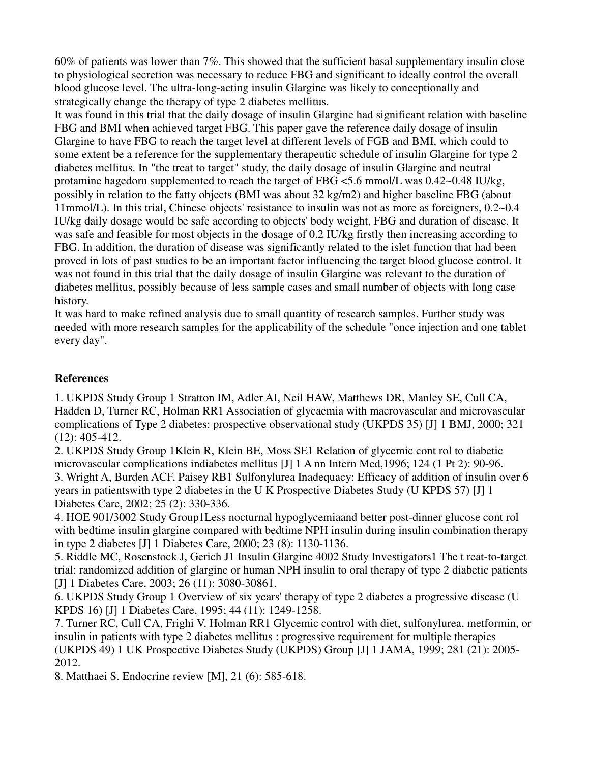60% of patients was lower than 7%. This showed that the sufficient basal supplementary insulin close to physiological secretion was necessary to reduce FBG and significant to ideally control the overall blood glucose level. The ultra-long-acting insulin Glargine was likely to conceptionally and strategically change the therapy of type 2 diabetes mellitus.

It was found in this trial that the daily dosage of insulin Glargine had significant relation with baseline FBG and BMI when achieved target FBG. This paper gave the reference daily dosage of insulin Glargine to have FBG to reach the target level at different levels of FGB and BMI, which could to some extent be a reference for the supplementary therapeutic schedule of insulin Glargine for type 2 diabetes mellitus. In "the treat to target" study, the daily dosage of insulin Glargine and neutral protamine hagedorn supplemented to reach the target of FBG  $\leq$ 5.6 mmol/L was 0.42 $\sim$ 0.48 IU/kg, possibly in relation to the fatty objects (BMI was about 32 kg/m2) and higher baseline FBG (about 11mmol/L). In this trial, Chinese objects' resistance to insulin was not as more as foreigners, 0.2~0.4 IU/kg daily dosage would be safe according to objects' body weight, FBG and duration of disease. It was safe and feasible for most objects in the dosage of 0.2 IU/kg firstly then increasing according to FBG. In addition, the duration of disease was significantly related to the islet function that had been proved in lots of past studies to be an important factor influencing the target blood glucose control. It was not found in this trial that the daily dosage of insulin Glargine was relevant to the duration of diabetes mellitus, possibly because of less sample cases and small number of objects with long case history.

It was hard to make refined analysis due to small quantity of research samples. Further study was needed with more research samples for the applicability of the schedule "once injection and one tablet every day".

## **References**

1. UKPDS Study Group 1 Stratton IM, Adler AI, Neil HAW, Matthews DR, Manley SE, Cull CA, Hadden D, Turner RC, Holman RR1 Association of glycaemia with macrovascular and microvascular complications of Type 2 diabetes: prospective observational study (UKPDS 35) [J] 1 BMJ, 2000; 321 (12): 405-412.

2. UKPDS Study Group 1Klein R, Klein BE, Moss SE1 Relation of glycemic cont rol to diabetic microvascular complications indiabetes mellitus [J] 1 A nn Intern Med,1996; 124 (1 Pt 2): 90-96.

3. Wright A, Burden ACF, Paisey RB1 Sulfonylurea Inadequacy: Efficacy of addition of insulin over 6 years in patientswith type 2 diabetes in the U K Prospective Diabetes Study (U KPDS 57) [J] 1 Diabetes Care, 2002; 25 (2): 330-336.

4. HOE 901/3002 Study Group1Less nocturnal hypoglycemiaand better post-dinner glucose cont rol with bedtime insulin glargine compared with bedtime NPH insulin during insulin combination therapy in type 2 diabetes [J] 1 Diabetes Care, 2000; 23 (8): 1130-1136.

5. Riddle MC, Rosenstock J, Gerich J1 Insulin Glargine 4002 Study Investigators1 The t reat-to-target trial: randomized addition of glargine or human NPH insulin to oral therapy of type 2 diabetic patients [J] 1 Diabetes Care, 2003; 26 (11): 3080-30861.

6. UKPDS Study Group 1 Overview of six years' therapy of type 2 diabetes a progressive disease (U KPDS 16) [J] 1 Diabetes Care, 1995; 44 (11): 1249-1258.

7. Turner RC, Cull CA, Frighi V, Holman RR1 Glycemic control with diet, sulfonylurea, metformin, or insulin in patients with type 2 diabetes mellitus : progressive requirement for multiple therapies (UKPDS 49) 1 UK Prospective Diabetes Study (UKPDS) Group [J] 1 JAMA, 1999; 281 (21): 2005- 2012.

8. Matthaei S. Endocrine review [M], 21 (6): 585-618.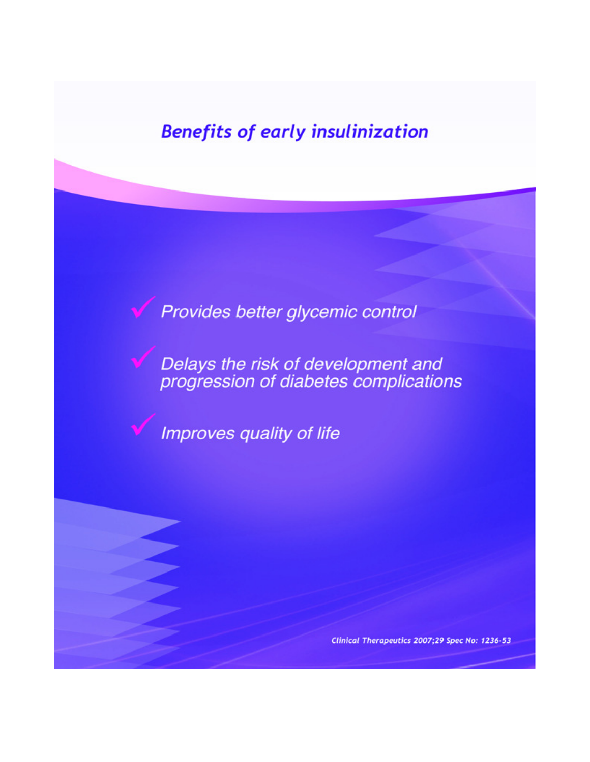# **Benefits of early insulinization**

Provides better glycemic control

Delays the risk of development and<br>progression of diabetes complications

Improves quality of life

Clinical Therapeutics 2007;29 Spec No: 1236-53